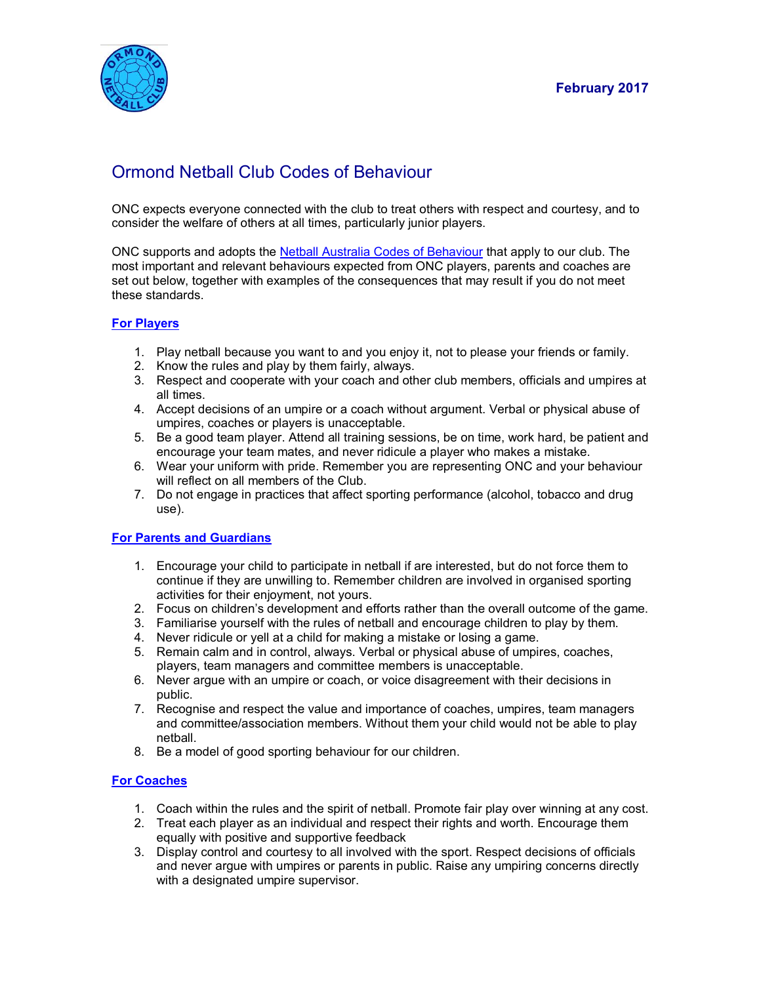

# Ormond Netball Club Codes of Behaviour

ONC expects everyone connected with the club to treat others with respect and courtesy, and to consider the welfare of others at all times, particularly junior players.

ONC supports and adopts the [Netball Australia Codes of Behaviour](http://netball.com.au/wp-content/uploads/2014/02/Attachment-A-National-Codes-of-Behaviour-Member-Protection-Policy-Effective-1-Jan-2014.pdf) that apply to our club. The most important and relevant behaviours expected from ONC players, parents and coaches are set out below, together with examples of the consequences that may result if you do not meet these standards.

## **For Players**

- 1. Play netball because you want to and you enjoy it, not to please your friends or family.
- 2. Know the rules and play by them fairly, always.
- 3. Respect and cooperate with your coach and other club members, officials and umpires at all times.
- 4. Accept decisions of an umpire or a coach without argument. Verbal or physical abuse of umpires, coaches or players is unacceptable.
- 5. Be a good team player. Attend all training sessions, be on time, work hard, be patient and encourage your team mates, and never ridicule a player who makes a mistake.
- 6. Wear your uniform with pride. Remember you are representing ONC and your behaviour will reflect on all members of the Club.
- 7. Do not engage in practices that affect sporting performance (alcohol, tobacco and drug use).

## **For Parents and Guardians**

- 1. Encourage your child to participate in netball if are interested, but do not force them to continue if they are unwilling to. Remember children are involved in organised sporting activities for their enjoyment, not yours.
- 2. Focus on children's development and efforts rather than the overall outcome of the game.
- 3. Familiarise yourself with the rules of netball and encourage children to play by them.
- 4. Never ridicule or yell at a child for making a mistake or losing a game.
- 5. Remain calm and in control, always. Verbal or physical abuse of umpires, coaches, players, team managers and committee members is unacceptable.
- 6. Never argue with an umpire or coach, or voice disagreement with their decisions in public.
- 7. Recognise and respect the value and importance of coaches, umpires, team managers and committee/association members. Without them your child would not be able to play netball.
- 8. Be a model of good sporting behaviour for our children.

### **For Coaches**

- 1. Coach within the rules and the spirit of netball. Promote fair play over winning at any cost.
- 2. Treat each player as an individual and respect their rights and worth. Encourage them equally with positive and supportive feedback
- 3. Display control and courtesy to all involved with the sport. Respect decisions of officials and never argue with umpires or parents in public. Raise any umpiring concerns directly with a designated umpire supervisor.